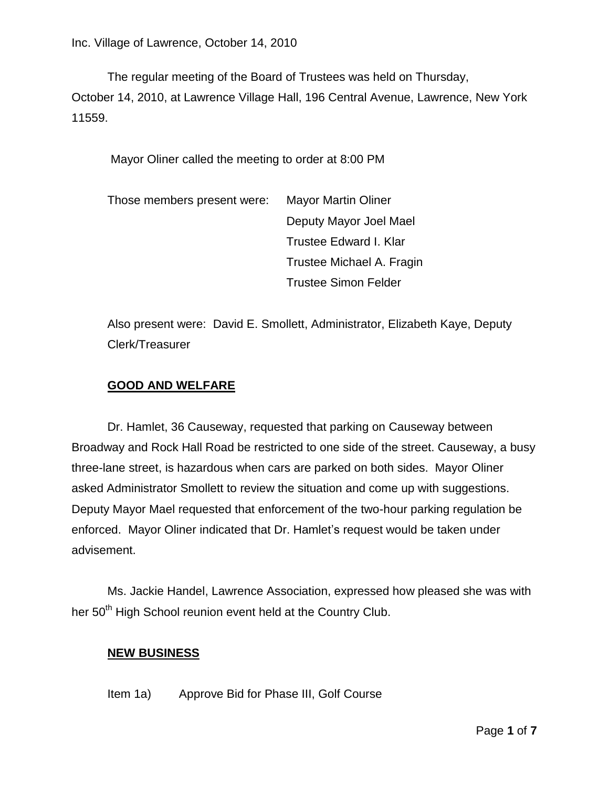The regular meeting of the Board of Trustees was held on Thursday, October 14, 2010, at Lawrence Village Hall, 196 Central Avenue, Lawrence, New York 11559.

Mayor Oliner called the meeting to order at 8:00 PM

| Those members present were: | <b>Mayor Martin Oliner</b>  |
|-----------------------------|-----------------------------|
|                             | Deputy Mayor Joel Mael      |
|                             | Trustee Edward I. Klar      |
|                             | Trustee Michael A. Fragin   |
|                             | <b>Trustee Simon Felder</b> |

Also present were: David E. Smollett, Administrator, Elizabeth Kaye, Deputy Clerk/Treasurer

# **GOOD AND WELFARE**

Dr. Hamlet, 36 Causeway, requested that parking on Causeway between Broadway and Rock Hall Road be restricted to one side of the street. Causeway, a busy three-lane street, is hazardous when cars are parked on both sides. Mayor Oliner asked Administrator Smollett to review the situation and come up with suggestions. Deputy Mayor Mael requested that enforcement of the two-hour parking regulation be enforced. Mayor Oliner indicated that Dr. Hamlet's request would be taken under advisement.

Ms. Jackie Handel, Lawrence Association, expressed how pleased she was with her 50<sup>th</sup> High School reunion event held at the Country Club.

### **NEW BUSINESS**

Item 1a) Approve Bid for Phase III, Golf Course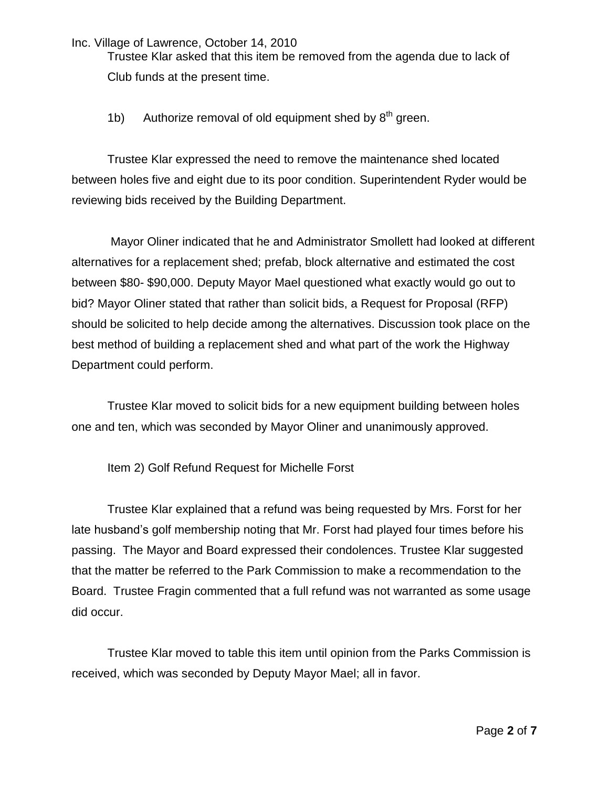Trustee Klar asked that this item be removed from the agenda due to lack of Club funds at the present time.

1b) Authorize removal of old equipment shed by  $8<sup>th</sup>$  green.

Trustee Klar expressed the need to remove the maintenance shed located between holes five and eight due to its poor condition. Superintendent Ryder would be reviewing bids received by the Building Department.

Mayor Oliner indicated that he and Administrator Smollett had looked at different alternatives for a replacement shed; prefab, block alternative and estimated the cost between \$80- \$90,000. Deputy Mayor Mael questioned what exactly would go out to bid? Mayor Oliner stated that rather than solicit bids, a Request for Proposal (RFP) should be solicited to help decide among the alternatives. Discussion took place on the best method of building a replacement shed and what part of the work the Highway Department could perform.

Trustee Klar moved to solicit bids for a new equipment building between holes one and ten, which was seconded by Mayor Oliner and unanimously approved.

Item 2) Golf Refund Request for Michelle Forst

Trustee Klar explained that a refund was being requested by Mrs. Forst for her late husband's golf membership noting that Mr. Forst had played four times before his passing. The Mayor and Board expressed their condolences. Trustee Klar suggested that the matter be referred to the Park Commission to make a recommendation to the Board. Trustee Fragin commented that a full refund was not warranted as some usage did occur.

Trustee Klar moved to table this item until opinion from the Parks Commission is received, which was seconded by Deputy Mayor Mael; all in favor.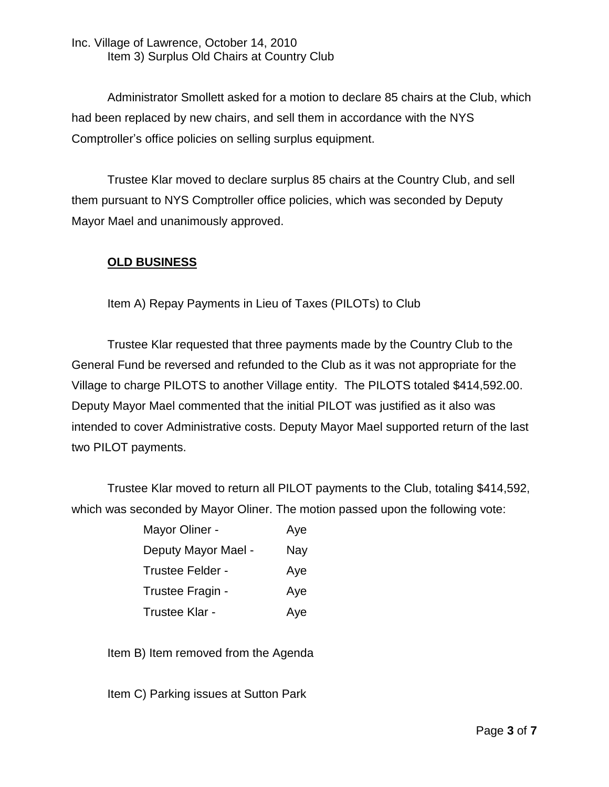Inc. Village of Lawrence, October 14, 2010 Item 3) Surplus Old Chairs at Country Club

Administrator Smollett asked for a motion to declare 85 chairs at the Club, which had been replaced by new chairs, and sell them in accordance with the NYS Comptroller's office policies on selling surplus equipment.

Trustee Klar moved to declare surplus 85 chairs at the Country Club, and sell them pursuant to NYS Comptroller office policies, which was seconded by Deputy Mayor Mael and unanimously approved.

## **OLD BUSINESS**

Item A) Repay Payments in Lieu of Taxes (PILOTs) to Club

Trustee Klar requested that three payments made by the Country Club to the General Fund be reversed and refunded to the Club as it was not appropriate for the Village to charge PILOTS to another Village entity. The PILOTS totaled \$414,592.00. Deputy Mayor Mael commented that the initial PILOT was justified as it also was intended to cover Administrative costs. Deputy Mayor Mael supported return of the last two PILOT payments.

Trustee Klar moved to return all PILOT payments to the Club, totaling \$414,592, which was seconded by Mayor Oliner. The motion passed upon the following vote:

| Mayor Oliner -      | Aye |
|---------------------|-----|
| Deputy Mayor Mael - | Nay |
| Trustee Felder -    | Aye |
| Trustee Fragin -    | Aye |
| Trustee Klar -      | Aye |

Item B) Item removed from the Agenda

Item C) Parking issues at Sutton Park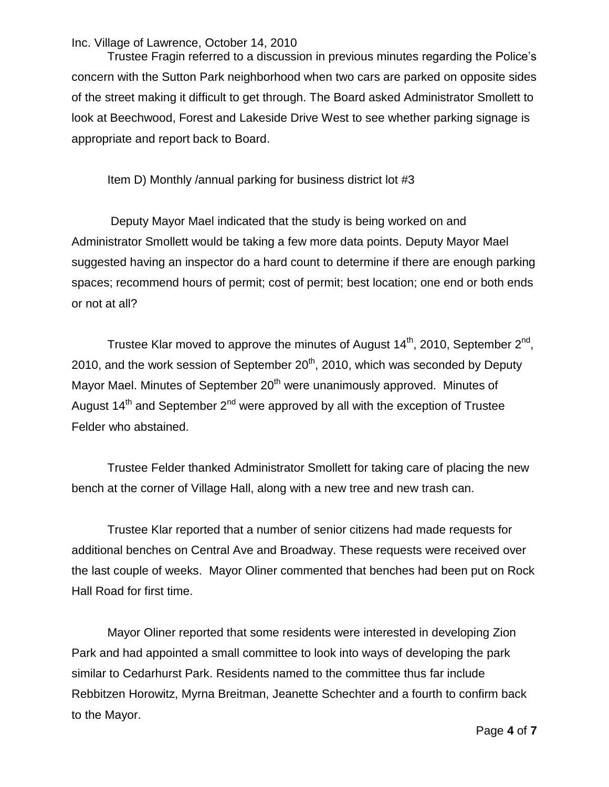Trustee Fragin referred to a discussion in previous minutes regarding the Police's concern with the Sutton Park neighborhood when two cars are parked on opposite sides of the street making it difficult to get through. The Board asked Administrator Smollett to look at Beechwood, Forest and Lakeside Drive West to see whether parking signage is appropriate and report back to Board.

Item D) Monthly /annual parking for business district lot #3

Deputy Mayor Mael indicated that the study is being worked on and Administrator Smollett would be taking a few more data points. Deputy Mayor Mael suggested having an inspector do a hard count to determine if there are enough parking spaces; recommend hours of permit; cost of permit; best location; one end or both ends or not at all?

Trustee Klar moved to approve the minutes of August 14<sup>th</sup>, 2010, September 2<sup>nd</sup>, 2010, and the work session of September  $20<sup>th</sup>$ , 2010, which was seconded by Deputy Mayor Mael. Minutes of September 20<sup>th</sup> were unanimously approved. Minutes of August  $14<sup>th</sup>$  and September  $2<sup>nd</sup>$  were approved by all with the exception of Trustee Felder who abstained.

Trustee Felder thanked Administrator Smollett for taking care of placing the new bench at the corner of Village Hall, along with a new tree and new trash can.

Trustee Klar reported that a number of senior citizens had made requests for additional benches on Central Ave and Broadway. These requests were received over the last couple of weeks. Mayor Oliner commented that benches had been put on Rock Hall Road for first time.

Mayor Oliner reported that some residents were interested in developing Zion Park and had appointed a small committee to look into ways of developing the park similar to Cedarhurst Park. Residents named to the committee thus far include Rebbitzen Horowitz, Myrna Breitman, Jeanette Schechter and a fourth to confirm back to the Mayor.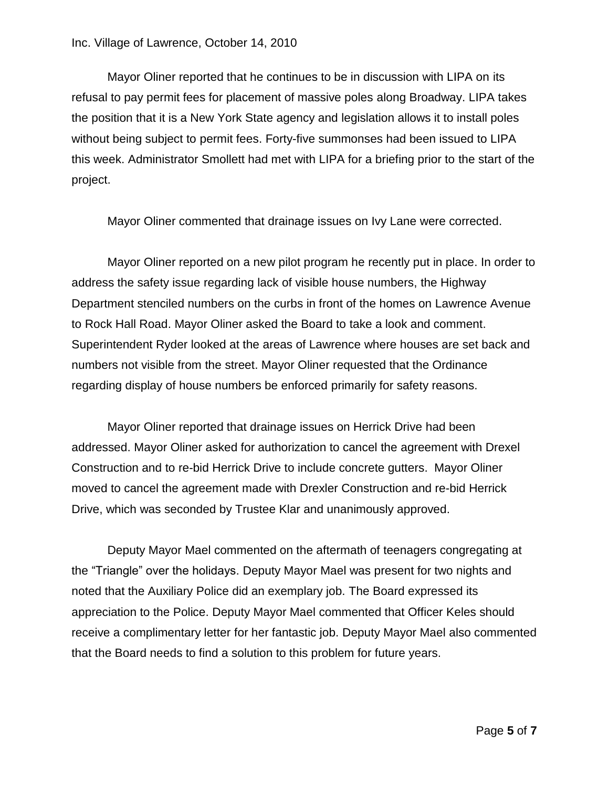Mayor Oliner reported that he continues to be in discussion with LIPA on its refusal to pay permit fees for placement of massive poles along Broadway. LIPA takes the position that it is a New York State agency and legislation allows it to install poles without being subject to permit fees. Forty-five summonses had been issued to LIPA this week. Administrator Smollett had met with LIPA for a briefing prior to the start of the project.

Mayor Oliner commented that drainage issues on Ivy Lane were corrected.

Mayor Oliner reported on a new pilot program he recently put in place. In order to address the safety issue regarding lack of visible house numbers, the Highway Department stenciled numbers on the curbs in front of the homes on Lawrence Avenue to Rock Hall Road. Mayor Oliner asked the Board to take a look and comment. Superintendent Ryder looked at the areas of Lawrence where houses are set back and numbers not visible from the street. Mayor Oliner requested that the Ordinance regarding display of house numbers be enforced primarily for safety reasons.

Mayor Oliner reported that drainage issues on Herrick Drive had been addressed. Mayor Oliner asked for authorization to cancel the agreement with Drexel Construction and to re-bid Herrick Drive to include concrete gutters. Mayor Oliner moved to cancel the agreement made with Drexler Construction and re-bid Herrick Drive, which was seconded by Trustee Klar and unanimously approved.

Deputy Mayor Mael commented on the aftermath of teenagers congregating at the "Triangle" over the holidays. Deputy Mayor Mael was present for two nights and noted that the Auxiliary Police did an exemplary job. The Board expressed its appreciation to the Police. Deputy Mayor Mael commented that Officer Keles should receive a complimentary letter for her fantastic job. Deputy Mayor Mael also commented that the Board needs to find a solution to this problem for future years.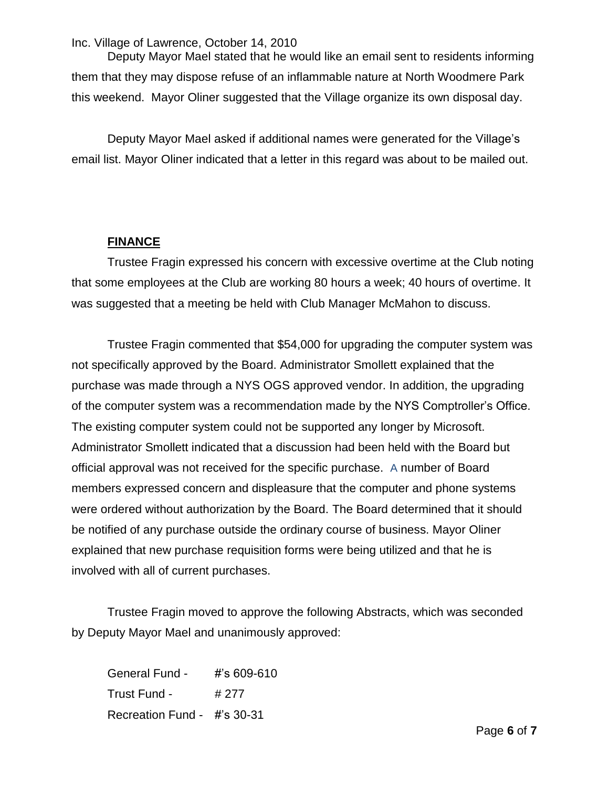Deputy Mayor Mael stated that he would like an email sent to residents informing them that they may dispose refuse of an inflammable nature at North Woodmere Park this weekend. Mayor Oliner suggested that the Village organize its own disposal day.

Deputy Mayor Mael asked if additional names were generated for the Village's email list. Mayor Oliner indicated that a letter in this regard was about to be mailed out.

## **FINANCE**

Trustee Fragin expressed his concern with excessive overtime at the Club noting that some employees at the Club are working 80 hours a week; 40 hours of overtime. It was suggested that a meeting be held with Club Manager McMahon to discuss.

Trustee Fragin commented that \$54,000 for upgrading the computer system was not specifically approved by the Board. Administrator Smollett explained that the purchase was made through a NYS OGS approved vendor. In addition, the upgrading of the computer system was a recommendation made by the NYS Comptroller's Office. The existing computer system could not be supported any longer by Microsoft. Administrator Smollett indicated that a discussion had been held with the Board but official approval was not received for the specific purchase. A number of Board members expressed concern and displeasure that the computer and phone systems were ordered without authorization by the Board. The Board determined that it should be notified of any purchase outside the ordinary course of business. Mayor Oliner explained that new purchase requisition forms were being utilized and that he is involved with all of current purchases.

Trustee Fragin moved to approve the following Abstracts, which was seconded by Deputy Mayor Mael and unanimously approved:

General Fund - #'s 609-610 Trust Fund - #277 Recreation Fund - #'s 30-31